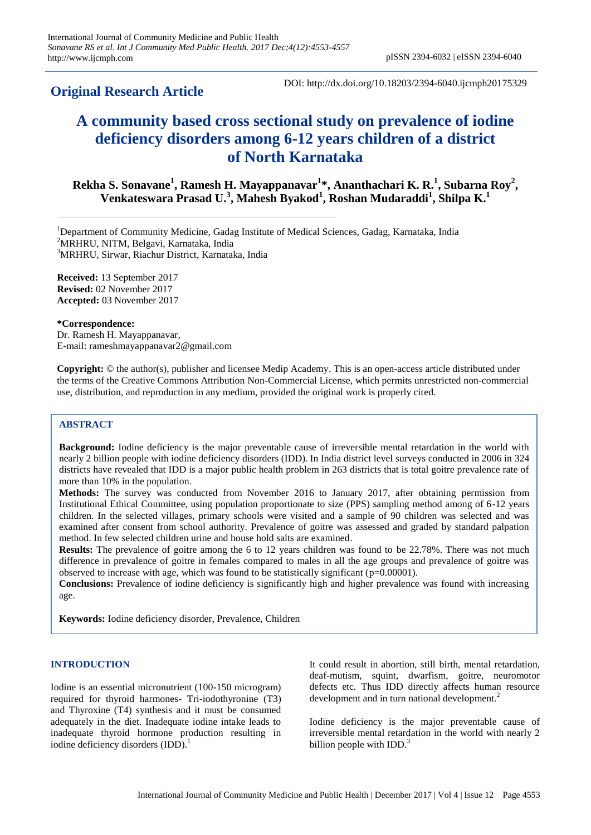# **Original Research Article**

DOI: http://dx.doi.org/10.18203/2394-6040.ijcmph20175329

# **A community based cross sectional study on prevalence of iodine deficiency disorders among 6-12 years children of a district of North Karnataka**

**Rekha S. Sonavane<sup>1</sup> , Ramesh H. Mayappanavar<sup>1</sup> \*, Ananthachari K. R. 1 , Subarna Roy<sup>2</sup> , Venkateswara Prasad U. 3 , Mahesh Byakod 1 , Roshan Mudaraddi<sup>1</sup> , Shilpa K. 1**

<sup>1</sup>Department of Community Medicine, Gadag Institute of Medical Sciences, Gadag, Karnataka, India <sup>2</sup>MRHRU, NITM, Belgavi, Karnataka, India <sup>3</sup>MRHRU, Sirwar, Riachur District, Karnataka, India

**Received:** 13 September 2017 **Revised:** 02 November 2017 **Accepted:** 03 November 2017

#### **\*Correspondence:**

Dr. Ramesh H. Mayappanavar, E-mail: rameshmayappanavar2@gmail.com

**Copyright:** © the author(s), publisher and licensee Medip Academy. This is an open-access article distributed under the terms of the Creative Commons Attribution Non-Commercial License, which permits unrestricted non-commercial use, distribution, and reproduction in any medium, provided the original work is properly cited.

# **ABSTRACT**

**Background:** Iodine deficiency is the major preventable cause of irreversible mental retardation in the world with nearly 2 billion people with iodine deficiency disorders (IDD). In India district level surveys conducted in 2006 in 324 districts have revealed that IDD is a major public health problem in 263 districts that is total goitre prevalence rate of more than 10% in the population.

**Methods:** The survey was conducted from November 2016 to January 2017, after obtaining permission from Institutional Ethical Committee, using population proportionate to size (PPS) sampling method among of 6-12 years children. In the selected villages, primary schools were visited and a sample of 90 children was selected and was examined after consent from school authority. Prevalence of goitre was assessed and graded by standard palpation method. In few selected children urine and house hold salts are examined.

**Results:** The prevalence of goitre among the 6 to 12 years children was found to be 22.78%. There was not much difference in prevalence of goitre in females compared to males in all the age groups and prevalence of goitre was observed to increase with age, which was found to be statistically significant  $(p=0.00001)$ .

**Conclusions:** Prevalence of iodine deficiency is significantly high and higher prevalence was found with increasing age.

**Keywords:** Iodine deficiency disorder, Prevalence, Children

#### **INTRODUCTION**

Iodine is an essential micronutrient (100-150 microgram) required for thyroid harmones- Tri-iodothyronine (T3) and Thyroxine (T4) synthesis and it must be consumed adequately in the diet. Inadequate iodine intake leads to inadequate thyroid hormone production resulting in iodine deficiency disorders (IDD). 1

It could result in abortion, still birth, mental retardation, deaf-mutism, squint, dwarfism, goitre, neuromotor defects etc. Thus IDD directly affects human resource development and in turn national development.<sup>2</sup>

Iodine deficiency is the major preventable cause of irreversible mental retardation in the world with nearly 2 billion people with  $IDD<sup>3</sup>$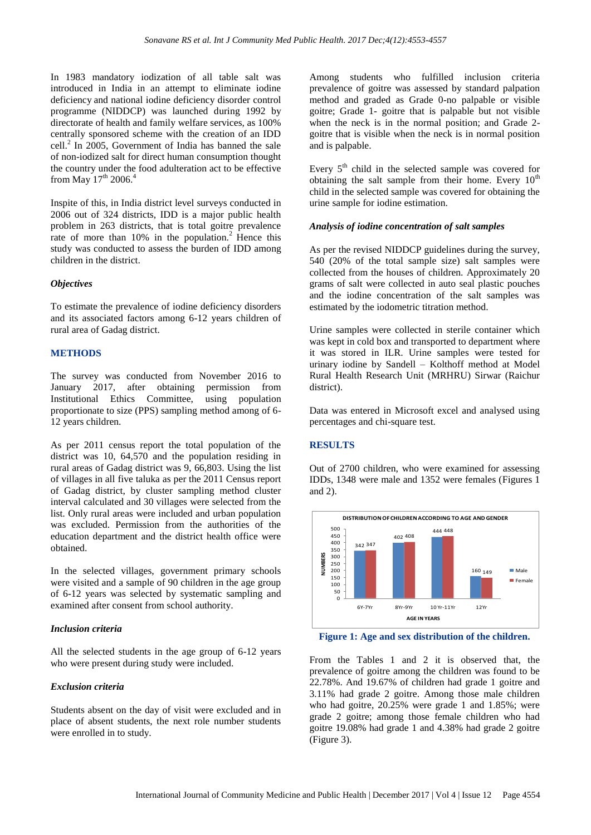In 1983 mandatory iodization of all table salt was introduced in India in an attempt to eliminate iodine deficiency and national iodine deficiency disorder control programme (NIDDCP) was launched during 1992 by directorate of health and family welfare services, as 100% centrally sponsored scheme with the creation of an IDD cell. $^{2}$  In 2005, Government of India has banned the sale of non-iodized salt for direct human consumption thought the country under the food adulteration act to be effective from May  $17<sup>th</sup>$  2006.<sup>4</sup>

Inspite of this, in India district level surveys conducted in 2006 out of 324 districts, IDD is a major public health problem in 263 districts, that is total goitre prevalence rate of more than  $10\%$  in the population.<sup>2</sup> Hence this study was conducted to assess the burden of IDD among children in the district.

### *Objectives*

To estimate the prevalence of iodine deficiency disorders and its associated factors among 6-12 years children of rural area of Gadag district.

### **METHODS**

The survey was conducted from November 2016 to January 2017, after obtaining permission from Institutional Ethics Committee, using population proportionate to size (PPS) sampling method among of 6- 12 years children.

As per 2011 census report the total population of the district was 10, 64,570 and the population residing in rural areas of Gadag district was 9, 66,803. Using the list of villages in all five taluka as per the 2011 Census report of Gadag district, by cluster sampling method cluster interval calculated and 30 villages were selected from the list. Only rural areas were included and urban population was excluded. Permission from the authorities of the education department and the district health office were obtained.

In the selected villages, government primary schools were visited and a sample of 90 children in the age group of 6-12 years was selected by systematic sampling and examined after consent from school authority.

#### *Inclusion criteria*

All the selected students in the age group of 6-12 years who were present during study were included.

#### *Exclusion criteria*

Students absent on the day of visit were excluded and in place of absent students, the next role number students were enrolled in to study.

Among students who fulfilled inclusion criteria prevalence of goitre was assessed by standard palpation method and graded as Grade 0-no palpable or visible goitre; Grade 1- goitre that is palpable but not visible when the neck is in the normal position; and Grade 2 goitre that is visible when the neck is in normal position and is palpable.

Every  $5<sup>th</sup>$  child in the selected sample was covered for obtaining the salt sample from their home. Every  $10^{th}$ child in the selected sample was covered for obtaining the urine sample for iodine estimation.

#### *Analysis of iodine concentration of salt samples*

As per the revised NIDDCP guidelines during the survey, 540 (20% of the total sample size) salt samples were collected from the houses of children. Approximately 20 grams of salt were collected in auto seal plastic pouches and the iodine concentration of the salt samples was estimated by the iodometric titration method.

Urine samples were collected in sterile container which was kept in cold box and transported to department where it was stored in ILR. Urine samples were tested for urinary iodine by Sandell – Kolthoff method at Model Rural Health Research Unit (MRHRU) Sirwar (Raichur district).

Data was entered in Microsoft excel and analysed using percentages and chi-square test.

#### **RESULTS**

Out of 2700 children, who were examined for assessing IDDs, 1348 were male and 1352 were females (Figures 1 and 2).



**Figure 1: Age and sex distribution of the children.**

From the Tables 1 and 2 it is observed that, the prevalence of goitre among the children was found to be 22.78%. And 19.67% of children had grade 1 goitre and 3.11% had grade 2 goitre. Among those male children who had goitre, 20.25% were grade 1 and 1.85%; were grade 2 goitre; among those female children who had goitre 19.08% had grade 1 and 4.38% had grade 2 goitre (Figure 3).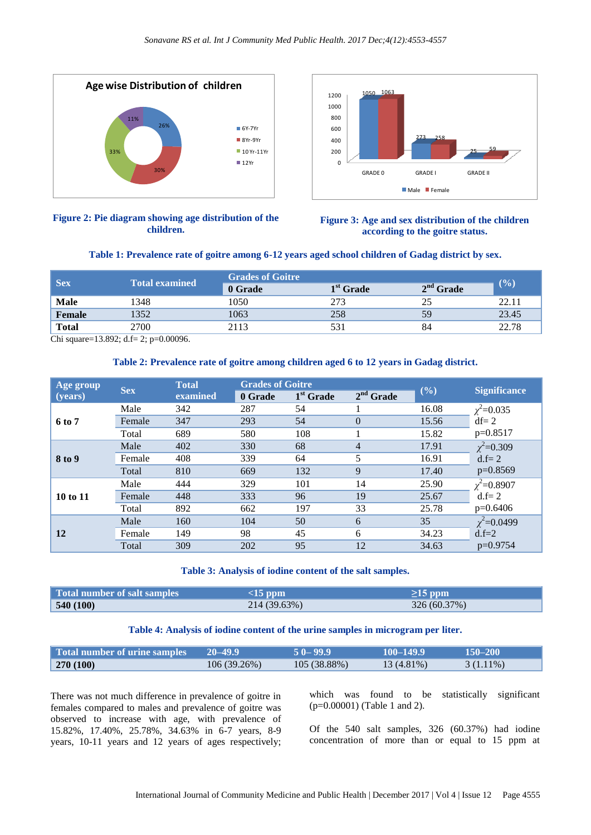



# **Figure 2: Pie diagram showing age distribution of the children.**

| <b>Sex</b>   | <b>Total examined</b> | <b>Grades of Goitre</b> |                       |             |        |
|--------------|-----------------------|-------------------------|-----------------------|-------------|--------|
|              |                       | 0 Grade                 | 1 <sup>st</sup> Grade | $2nd$ Grade | $($ %) |
| <b>Male</b>  | 1348                  | 1050                    | 273                   | 25          | 22.11  |
| Female       | 1352                  | 1063                    | 258                   | 59          | 23.45  |
| <b>Total</b> | 2700                  | 2113                    | 531                   | 84          | 22.78  |

# **Table 2: Prevalence rate of goitre among children aged 6 to 12 years in Gadag district.**

|                                                                                  | 33%<br>30% | 26%                                                                                                                                                                                                                                                                                  | ■ 6Y-7Yr<br>$\blacksquare$ 8Yr-9Yr<br>■ 10 Yr-11Yr<br>■ 12Yr                                                       | 600<br>400<br>200<br>$\mathbf 0$ | <b>GRADE 0</b>                                          | 273<br>-258<br><b>GRADE I</b><br>$\blacksquare$ Male $\blacksquare$ Female            | <b>GRADE II</b>                                                                                                     |  |
|----------------------------------------------------------------------------------|------------|--------------------------------------------------------------------------------------------------------------------------------------------------------------------------------------------------------------------------------------------------------------------------------------|--------------------------------------------------------------------------------------------------------------------|----------------------------------|---------------------------------------------------------|---------------------------------------------------------------------------------------|---------------------------------------------------------------------------------------------------------------------|--|
|                                                                                  |            | Figure 2: Pie diagram showing age distribution of the<br>children.                                                                                                                                                                                                                   | Table 1: Prevalence rate of goitre among 6-12 years aged school children of Gadag district by sex.                 |                                  |                                                         | Figure 3: Age and sex distribution of the children<br>according to the goitre status. |                                                                                                                     |  |
|                                                                                  |            |                                                                                                                                                                                                                                                                                      | <b>Grades of Goitre</b>                                                                                            |                                  |                                                         |                                                                                       |                                                                                                                     |  |
| <b>Sex</b>                                                                       |            | <b>Total examined</b>                                                                                                                                                                                                                                                                | 0 Grade                                                                                                            |                                  | $1st$ Grade                                             | $2nd$ Grade                                                                           | (%)                                                                                                                 |  |
| <b>Male</b>                                                                      | 1348       |                                                                                                                                                                                                                                                                                      | 1050                                                                                                               | 273                              |                                                         | 25                                                                                    | 22.11                                                                                                               |  |
| <b>Female</b>                                                                    | 1352       |                                                                                                                                                                                                                                                                                      | 1063                                                                                                               | 258                              |                                                         | 59                                                                                    | 23.45                                                                                                               |  |
| <b>Total</b><br>Chi square=13.892; d.f= 2; p=0.00096.                            | 2700       |                                                                                                                                                                                                                                                                                      | 2113                                                                                                               | 531                              |                                                         | 84                                                                                    | 22.78                                                                                                               |  |
| Age group                                                                        | <b>Sex</b> | <b>Total</b>                                                                                                                                                                                                                                                                         | Table 2: Prevalence rate of goitre among children aged 6 to 12 years in Gadag district.<br><b>Grades of Goitre</b> |                                  |                                                         | (%)                                                                                   | <b>Significance</b>                                                                                                 |  |
| (years)                                                                          |            | examined                                                                                                                                                                                                                                                                             | 0 Grade                                                                                                            | $1st$ Grade                      | $2nd$ Grade                                             |                                                                                       |                                                                                                                     |  |
|                                                                                  | Male       | 342                                                                                                                                                                                                                                                                                  | 287                                                                                                                | 54                               | 1                                                       | 16.08                                                                                 | $\chi^2$ =0.035                                                                                                     |  |
| 6 to 7                                                                           | Female     | 347                                                                                                                                                                                                                                                                                  | 293                                                                                                                | 54                               | $\mathbf{0}$                                            | 15.56                                                                                 | $df = 2$                                                                                                            |  |
|                                                                                  | Total      | 689                                                                                                                                                                                                                                                                                  | 580                                                                                                                | 108                              | 1                                                       | 15.82                                                                                 | $p=0.8517$                                                                                                          |  |
|                                                                                  | Male       | 402                                                                                                                                                                                                                                                                                  | 330                                                                                                                | 68                               | $\overline{4}$                                          | 17.91                                                                                 | $\chi^2$ =0.309                                                                                                     |  |
| 8 to 9                                                                           | Female     | 408                                                                                                                                                                                                                                                                                  | 339                                                                                                                | 64                               | 5                                                       | 16.91                                                                                 | $d.f = 2$                                                                                                           |  |
|                                                                                  | Total      | 810                                                                                                                                                                                                                                                                                  | 669                                                                                                                | 132                              | 9                                                       | 17.40                                                                                 | p=0.8569                                                                                                            |  |
|                                                                                  | Male       | 444                                                                                                                                                                                                                                                                                  | 329                                                                                                                | 101                              | 14                                                      | 25.90                                                                                 | $\chi^2$ =0.8907                                                                                                    |  |
| 10 to 11                                                                         | Female     | 448                                                                                                                                                                                                                                                                                  | 333                                                                                                                | 96                               | 19                                                      | 25.67                                                                                 | $d.f = 2$                                                                                                           |  |
|                                                                                  | Total      | 892                                                                                                                                                                                                                                                                                  | 662                                                                                                                | 197                              | 33                                                      | 25.78                                                                                 | $p=0.6406$                                                                                                          |  |
|                                                                                  | Male       | 160                                                                                                                                                                                                                                                                                  | 104                                                                                                                | 50                               | 6                                                       | 35                                                                                    | $\chi^2$ =0.0499                                                                                                    |  |
| 12                                                                               | Female     | 149                                                                                                                                                                                                                                                                                  | 98                                                                                                                 | 45                               | 6                                                       | 34.23                                                                                 | $d.f = 2$<br>p=0.9754                                                                                               |  |
|                                                                                  | Total      | 309                                                                                                                                                                                                                                                                                  | 202                                                                                                                | 95                               | 12                                                      | 34.63                                                                                 |                                                                                                                     |  |
| Table 3: Analysis of iodine content of the salt samples.                         |            |                                                                                                                                                                                                                                                                                      |                                                                                                                    |                                  |                                                         |                                                                                       |                                                                                                                     |  |
| <b>Total number of salt samples</b>                                              |            |                                                                                                                                                                                                                                                                                      | $<15$ ppm                                                                                                          |                                  |                                                         | $\geq$ 15 ppm                                                                         |                                                                                                                     |  |
| 540 (100)                                                                        |            |                                                                                                                                                                                                                                                                                      | 214 (39.63%)                                                                                                       |                                  |                                                         | 326 (60.37%)                                                                          |                                                                                                                     |  |
| Table 4: Analysis of iodine content of the urine samples in microgram per liter. |            |                                                                                                                                                                                                                                                                                      |                                                                                                                    |                                  |                                                         |                                                                                       |                                                                                                                     |  |
| <b>Total number of urine samples</b>                                             |            |                                                                                                                                                                                                                                                                                      | $20 - 49.9$                                                                                                        | $50 - 99.9$                      | $100 - 149.9$                                           |                                                                                       | $150 - 200$                                                                                                         |  |
| 270 (100)                                                                        |            |                                                                                                                                                                                                                                                                                      | 106 (39.26%)                                                                                                       | 105 (38.88%)                     |                                                         | 13 (4.81%)                                                                            | $3(1.11\%)$                                                                                                         |  |
|                                                                                  |            | There was not much difference in prevalence of goitre in<br>females compared to males and prevalence of goitre was<br>observed to increase with age, with prevalence of<br>15.82%, 17.40%, 25.78%, 34.63% in 6-7 years, 8-9<br>years, 10-11 years and 12 years of ages respectively; |                                                                                                                    |                                  | which was found to be<br>$(p=0.00001)$ (Table 1 and 2). | statistically                                                                         | significant<br>Of the 540 salt samples, 326 (60.37%) had iodine<br>concentration of more than or equal to 15 ppm at |  |
|                                                                                  |            |                                                                                                                                                                                                                                                                                      | International Journal of Community Medicine and Public Health   December 2017   Vol 4   Issue 12                   |                                  |                                                         |                                                                                       | Page 4555                                                                                                           |  |

# **Table 3: Analysis of iodine content of the salt samples.**

| Total number of salt samples | $\leq$ 15 ppm | $\geq$ 15 ppm |
|------------------------------|---------------|---------------|
| 540(100)                     | 214 (39.63%)  | 326 (60.37%)  |

# **Table 4: Analysis of iodine content of the urine samples in microgram per liter.**

| Total number of urine samples | $20 - 49.9$ | $50 - 99.9$ | $100 - 149.9$ | $150 - 200$ |
|-------------------------------|-------------|-------------|---------------|-------------|
| 270(100)                      | 106(39.26%) | 105(38.88%) | 13 (4.81%)    | $3(1.11\%)$ |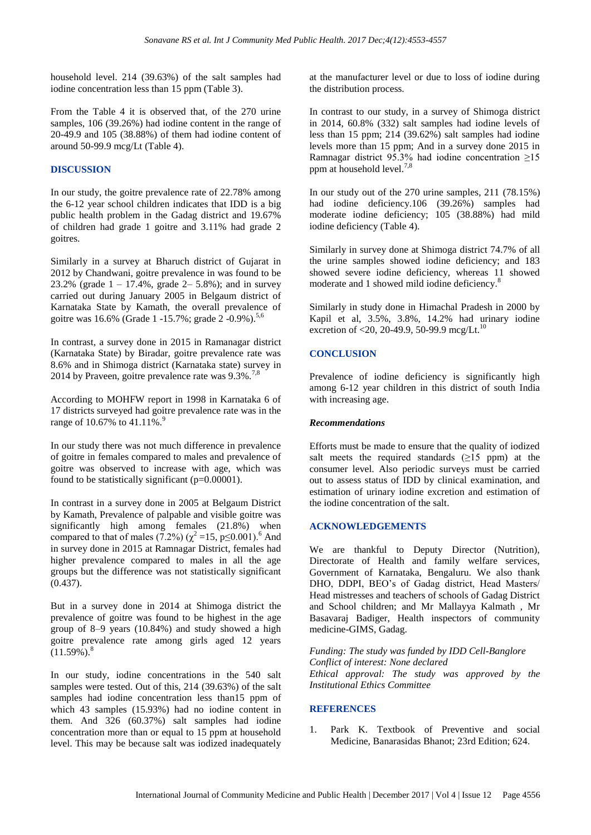household level. 214 (39.63%) of the salt samples had iodine concentration less than 15 ppm (Table 3).

From the Table 4 it is observed that, of the 270 urine samples, 106 (39.26%) had iodine content in the range of 20-49.9 and 105 (38.88%) of them had iodine content of around 50-99.9 mcg/Lt (Table 4).

# **DISCUSSION**

In our study, the goitre prevalence rate of 22.78% among the 6-12 year school children indicates that IDD is a big public health problem in the Gadag district and 19.67% of children had grade 1 goitre and 3.11% had grade 2 goitres.

Similarly in a survey at Bharuch district of Gujarat in 2012 by Chandwani, goitre prevalence in was found to be 23.2% (grade  $1 - 17.4$ %, grade  $2 - 5.8$ %); and in survey carried out during January 2005 in Belgaum district of Karnataka State by Kamath, the overall prevalence of goitre was 16.6% (Grade 1 -15.7%; grade 2 -0.9%).<sup>5,6</sup>

In contrast, a survey done in 2015 in Ramanagar district (Karnataka State) by Biradar, goitre prevalence rate was 8.6% and in Shimoga district (Karnataka state) survey in 2014 by Praveen, goitre prevalence rate was  $9.3\%$ .<sup>7,8</sup>

According to MOHFW report in 1998 in Karnataka 6 of 17 districts surveyed had goitre prevalence rate was in the range of 10.67% to 41.11%.<sup>9</sup>

In our study there was not much difference in prevalence of goitre in females compared to males and prevalence of goitre was observed to increase with age, which was found to be statistically significant (p=0.00001).

In contrast in a survey done in 2005 at Belgaum District by Kamath, Prevalence of palpable and visible goitre was significantly high among females (21.8%) when compared to that of males (7.2%) ( $\chi^2$  =15, p≤0.001).<sup>6</sup> And in survey done in 2015 at Ramnagar District, females had higher prevalence compared to males in all the age groups but the difference was not statistically significant (0.437).

But in a survey done in 2014 at Shimoga district the prevalence of goitre was found to be highest in the age group of 8–9 years (10.84%) and study showed a high goitre prevalence rate among girls aged 12 years  $(11.59\%)$ .<sup>8</sup>

In our study, iodine concentrations in the 540 salt samples were tested. Out of this, 214 (39.63%) of the salt samples had iodine concentration less than15 ppm of which 43 samples (15.93%) had no iodine content in them. And 326 (60.37%) salt samples had iodine concentration more than or equal to 15 ppm at household level. This may be because salt was iodized inadequately at the manufacturer level or due to loss of iodine during the distribution process.

In contrast to our study, in a survey of Shimoga district in 2014, 60.8% (332) salt samples had iodine levels of less than 15 ppm; 214 (39.62%) salt samples had iodine levels more than 15 ppm; And in a survey done 2015 in Ramnagar district 95.3% had iodine concentration ≥15 ppm at household level.<sup>7,8</sup>

In our study out of the 270 urine samples, 211 (78.15%) had iodine deficiency.106 (39.26%) samples had moderate iodine deficiency; 105 (38.88%) had mild iodine deficiency (Table 4).

Similarly in survey done at Shimoga district 74.7% of all the urine samples showed iodine deficiency; and 183 showed severe iodine deficiency, whereas 11 showed moderate and 1 showed mild iodine deficiency.<sup>8</sup>

Similarly in study done in Himachal Pradesh in 2000 by Kapil et al, 3.5%, 3.8%, 14.2% had urinary iodine excretion of <20, 20-49.9, 50-99.9 mcg/Lt.<sup>10</sup>

# **CONCLUSION**

Prevalence of iodine deficiency is significantly high among 6-12 year children in this district of south India with increasing age.

# *Recommendations*

Efforts must be made to ensure that the quality of iodized salt meets the required standards  $(\geq 15$  ppm) at the consumer level. Also periodic surveys must be carried out to assess status of IDD by clinical examination, and estimation of urinary iodine excretion and estimation of the iodine concentration of the salt.

# **ACKNOWLEDGEMENTS**

We are thankful to Deputy Director (Nutrition), Directorate of Health and family welfare services, Government of Karnataka, Bengaluru. We also thank DHO, DDPI, BEO's of Gadag district, Head Masters/ Head mistresses and teachers of schools of Gadag District and School children; and Mr Mallayya Kalmath , Mr Basavaraj Badiger, Health inspectors of community medicine-GIMS, Gadag.

*Funding: The study was funded by IDD Cell-Banglore Conflict of interest: None declared Ethical approval: The study was approved by the Institutional Ethics Committee*

# **REFERENCES**

1. Park K. Textbook of Preventive and social Medicine, Banarasidas Bhanot; 23rd Edition; 624.